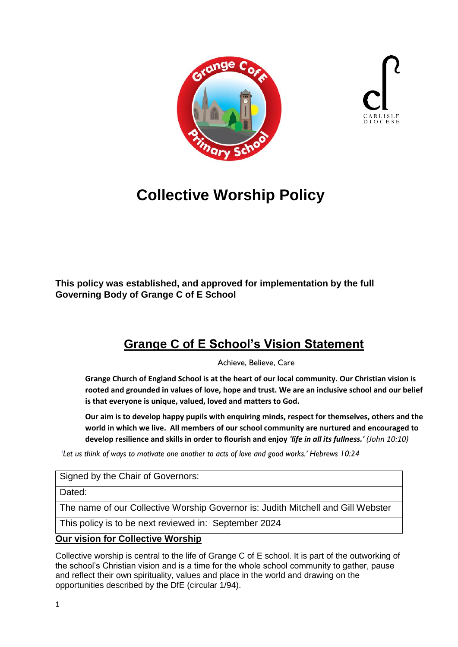



# **Collective Worship Policy**

**This policy was established, and approved for implementation by the full Governing Body of Grange C of E School** 

## **Grange C of E School's Vision Statement**

Achieve, Believe, Care

**Grange Church of England School is at the heart of our local community. Our Christian vision is rooted and grounded in values of love, hope and trust. We are an inclusive school and our belief is that everyone is unique, valued, loved and matters to God.**

**Our aim is to develop happy pupils with enquiring minds, respect for themselves, others and the world in which we live. All members of our school community are nurtured and encouraged to develop resilience and skills in order to flourish and enjoy** *'life in all its fullness.' (John 10:10)*

'*Let us think of ways to motivate one another to acts of love and good works.' Hebrews 10:24*

Signed by the Chair of Governors:

Dated:

The name of our Collective Worship Governor is: Judith Mitchell and Gill Webster

This policy is to be next reviewed in: September 2024

#### **Our vision for Collective Worship**

Collective worship is central to the life of Grange C of E school. It is part of the outworking of the school's Christian vision and is a time for the whole school community to gather, pause and reflect their own spirituality, values and place in the world and drawing on the opportunities described by the DfE (circular 1/94).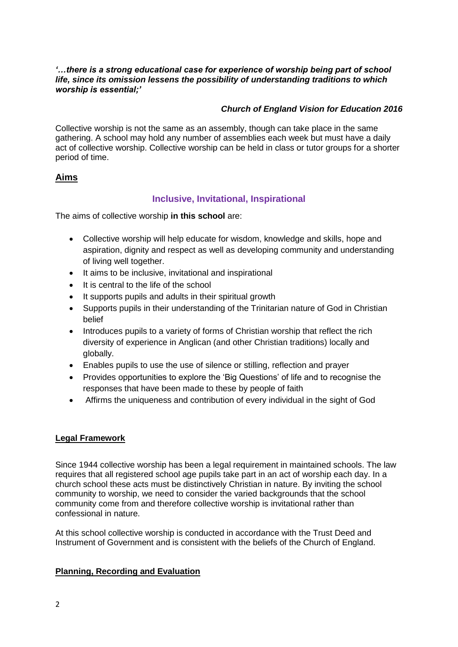#### *'…there is a strong educational case for experience of worship being part of school life, since its omission lessens the possibility of understanding traditions to which worship is essential;'*

#### *Church of England Vision for Education 2016*

Collective worship is not the same as an assembly, though can take place in the same gathering. A school may hold any number of assemblies each week but must have a daily act of collective worship. Collective worship can be held in class or tutor groups for a shorter period of time.

#### **Aims**

#### **Inclusive, Invitational, Inspirational**

The aims of collective worship **in this school** are:

- Collective worship will help educate for wisdom, knowledge and skills, hope and aspiration, dignity and respect as well as developing community and understanding of living well together.
- It aims to be inclusive, invitational and inspirational
- It is central to the life of the school
- It supports pupils and adults in their spiritual growth
- Supports pupils in their understanding of the Trinitarian nature of God in Christian belief
- Introduces pupils to a variety of forms of Christian worship that reflect the rich diversity of experience in Anglican (and other Christian traditions) locally and globally.
- Enables pupils to use the use of silence or stilling, reflection and prayer
- Provides opportunities to explore the 'Big Questions' of life and to recognise the responses that have been made to these by people of faith
- Affirms the uniqueness and contribution of every individual in the sight of God

#### **Legal Framework**

Since 1944 collective worship has been a legal requirement in maintained schools. The law requires that all registered school age pupils take part in an act of worship each day. In a church school these acts must be distinctively Christian in nature. By inviting the school community to worship, we need to consider the varied backgrounds that the school community come from and therefore collective worship is invitational rather than confessional in nature.

At this school collective worship is conducted in accordance with the Trust Deed and Instrument of Government and is consistent with the beliefs of the Church of England.

#### **Planning, Recording and Evaluation**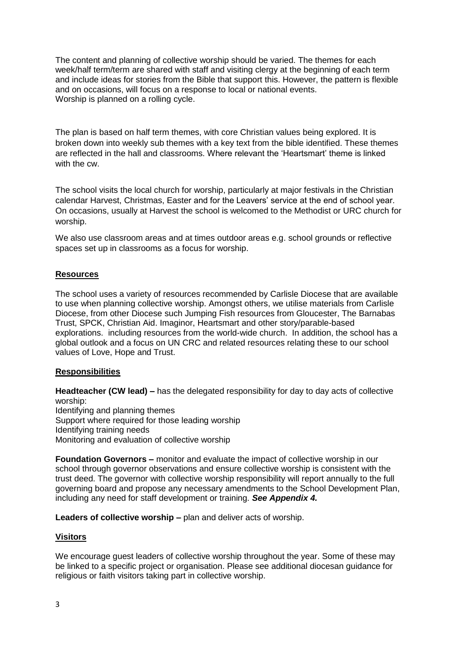The content and planning of collective worship should be varied. The themes for each week/half term/term are shared with staff and visiting clergy at the beginning of each term and include ideas for stories from the Bible that support this. However, the pattern is flexible and on occasions, will focus on a response to local or national events. Worship is planned on a rolling cycle.

The plan is based on half term themes, with core Christian values being explored. It is broken down into weekly sub themes with a key text from the bible identified. These themes are reflected in the hall and classrooms. Where relevant the 'Heartsmart' theme is linked with the cw.

The school visits the local church for worship, particularly at major festivals in the Christian calendar Harvest, Christmas, Easter and for the Leavers' service at the end of school year. On occasions, usually at Harvest the school is welcomed to the Methodist or URC church for worship.

We also use classroom areas and at times outdoor areas e.g. school grounds or reflective spaces set up in classrooms as a focus for worship.

#### **Resources**

The school uses a variety of resources recommended by Carlisle Diocese that are available to use when planning collective worship. Amongst others, we utilise materials from Carlisle Diocese, from other Diocese such Jumping Fish resources from Gloucester, The Barnabas Trust, SPCK, Christian Aid. Imaginor, Heartsmart and other story/parable-based explorations. including resources from the world-wide church. In addition, the school has a global outlook and a focus on UN CRC and related resources relating these to our school values of Love, Hope and Trust.

#### **Responsibilities**

**Headteacher (CW lead) –** has the delegated responsibility for day to day acts of collective worship:

Identifying and planning themes Support where required for those leading worship Identifying training needs Monitoring and evaluation of collective worship

**Foundation Governors –** monitor and evaluate the impact of collective worship in our school through governor observations and ensure collective worship is consistent with the trust deed. The governor with collective worship responsibility will report annually to the full governing board and propose any necessary amendments to the School Development Plan, including any need for staff development or training. *See Appendix 4.*

**Leaders of collective worship –** plan and deliver acts of worship.

#### **Visitors**

We encourage guest leaders of collective worship throughout the year. Some of these may be linked to a specific project or organisation. Please see additional diocesan guidance for religious or faith visitors taking part in collective worship.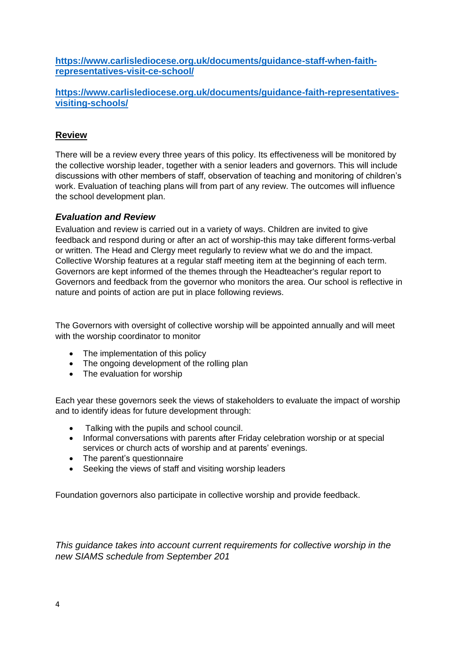**[https://www.carlislediocese.org.uk/documents/guidance-staff-when-faith](about:blank)[representatives-visit-ce-school/](about:blank)**

**[https://www.carlislediocese.org.uk/documents/guidance-faith-representatives](about:blank)[visiting-schools/](about:blank)**

#### **Review**

There will be a review every three years of this policy. Its effectiveness will be monitored by the collective worship leader, together with a senior leaders and governors. This will include discussions with other members of staff, observation of teaching and monitoring of children's work. Evaluation of teaching plans will from part of any review. The outcomes will influence the school development plan.

#### *Evaluation and Review*

Evaluation and review is carried out in a variety of ways. Children are invited to give feedback and respond during or after an act of worship-this may take different forms-verbal or written. The Head and Clergy meet regularly to review what we do and the impact. Collective Worship features at a regular staff meeting item at the beginning of each term. Governors are kept informed of the themes through the Headteacher's regular report to Governors and feedback from the governor who monitors the area. Our school is reflective in nature and points of action are put in place following reviews.

The Governors with oversight of collective worship will be appointed annually and will meet with the worship coordinator to monitor

- The implementation of this policy
- The ongoing development of the rolling plan
- The evaluation for worship

Each year these governors seek the views of stakeholders to evaluate the impact of worship and to identify ideas for future development through:

- Talking with the pupils and school council.
- Informal conversations with parents after Friday celebration worship or at special services or church acts of worship and at parents' evenings.
- The parent's questionnaire
- Seeking the views of staff and visiting worship leaders

Foundation governors also participate in collective worship and provide feedback.

*This guidance takes into account current requirements for collective worship in the new SIAMS schedule from September 201*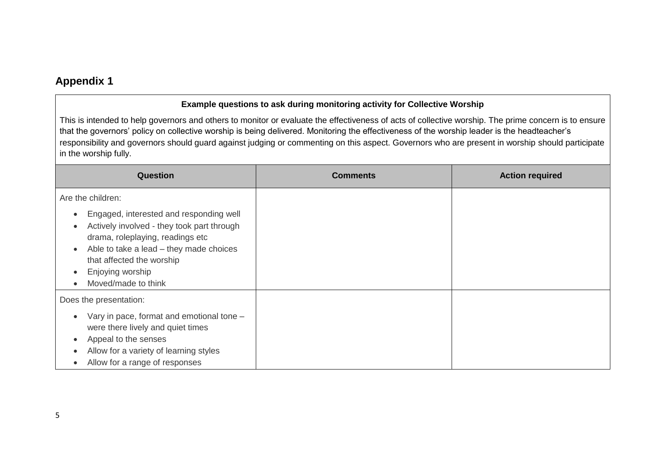### **Appendix 1**

#### **Example questions to ask during monitoring activity for Collective Worship**

This is intended to help governors and others to monitor or evaluate the effectiveness of acts of collective worship. The prime concern is to ensure that the governors' policy on collective worship is being delivered. Monitoring the effectiveness of the worship leader is the headteacher's responsibility and governors should guard against judging or commenting on this aspect. Governors who are present in worship should participate in the worship fully.

| Question                                                                                                                                                                                                                                                                                                            | <b>Comments</b> | <b>Action required</b> |
|---------------------------------------------------------------------------------------------------------------------------------------------------------------------------------------------------------------------------------------------------------------------------------------------------------------------|-----------------|------------------------|
| Are the children:                                                                                                                                                                                                                                                                                                   |                 |                        |
| Engaged, interested and responding well<br>$\bullet$<br>Actively involved - they took part through<br>$\blacksquare$<br>drama, roleplaying, readings etc<br>Able to take a lead - they made choices<br>$\bullet$<br>that affected the worship<br>Enjoying worship<br>$\bullet$<br>Moved/made to think<br>$\epsilon$ |                 |                        |
| Does the presentation:                                                                                                                                                                                                                                                                                              |                 |                        |
| Vary in pace, format and emotional tone -<br>$\bullet$<br>were there lively and quiet times<br>Appeal to the senses<br>$\bullet$<br>Allow for a variety of learning styles<br>Allow for a range of responses                                                                                                        |                 |                        |